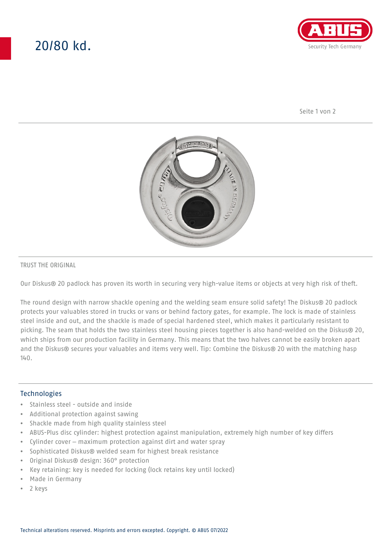# 20/80 kd.



Seite 1 von 2



#### TRUST THE ORIGINAL

Our Diskus® 20 padlock has proven its worth in securing very high-value items or objects at very high risk of theft.

The round design with narrow shackle opening and the welding seam ensure solid safety! The Diskus® 20 padlock protects your valuables stored in trucks or vans or behind factory gates, for example. The lock is made of stainless steel inside and out, and the shackle is made of special hardened steel, which makes it particularly resistant to picking. The seam that holds the two stainless steel housing pieces together is also hand-welded on the Diskus® 20, which ships from our production facility in Germany. This means that the two halves cannot be easily broken apart and the Diskus® secures your valuables and items very well. Tip: Combine the Diskus® 20 with the matching hasp  $140.$ 

### **Technologies**

- Stainless steel outside and inside
- Additional protection against sawing
- Shackle made from high quality stainless steel
- ABUS-Plus disc cylinder: highest protection against manipulation, extremely high number of key differs
- Cylinder cover maximum protection against dirt and water spray
- Sophisticated Diskus® welded seam for highest break resistance
- Original Diskus® design: 360° protection
- Key retaining: key is needed for locking (lock retains key until locked)
- Made in Germany
- 2 keys